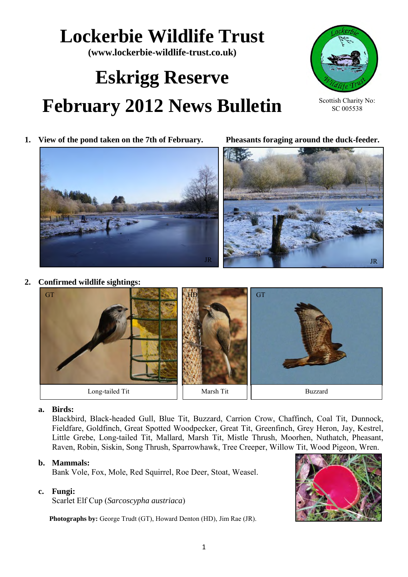# **Lockerbie Wildlife Trust**

**(www.lockerbie-wildlife-trust.co.uk)** 

# **Eskrigg Reserve February 2012 News Bulletin**



Scottish Charity No: SC 005538

**1. View of the pond taken on the 7th of February. Pheasants foraging around the duck-feeder.** 



**2. Confirmed wildlife sightings:** 



# **a. Birds:**

Blackbird, Black-headed Gull, Blue Tit, Buzzard, Carrion Crow, Chaffinch, Coal Tit, Dunnock, Fieldfare, Goldfinch, Great Spotted Woodpecker, Great Tit, Greenfinch, Grey Heron, Jay, Kestrel, Little Grebe, Long-tailed Tit, Mallard, Marsh Tit, Mistle Thrush, Moorhen, Nuthatch, Pheasant, Raven, Robin, Siskin, Song Thrush, Sparrowhawk, Tree Creeper, Willow Tit, Wood Pigeon, Wren.

#### **b. Mammals:**

Bank Vole, Fox, Mole, Red Squirrel, Roe Deer, Stoat, Weasel.

# **c. Fungi:**

Scarlet Elf Cup (*Sarcoscypha austriaca*)

**Photographs by:** George Trudt (GT), Howard Denton (HD), Jim Rae (JR).

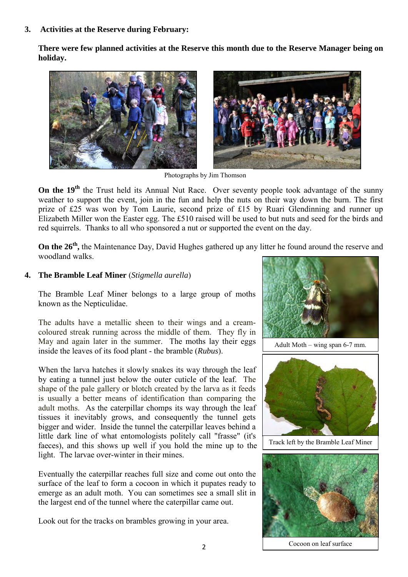**3. Activities at the Reserve during February:**

**There were few planned activities at the Reserve this month due to the Reserve Manager being on holiday.** 



Photographs by Jim Thomson

**On the 19<sup>th</sup>** the Trust held its Annual Nut Race. Over seventy people took advantage of the sunny weather to support the event, join in the fun and help the nuts on their way down the burn. The first prize of £25 was won by Tom Laurie, second prize of £15 by Ruari Glendinning and runner up Elizabeth Miller won the Easter egg. The £510 raised will be used to but nuts and seed for the birds and red squirrels. Thanks to all who sponsored a nut or supported the event on the day.

On the 26<sup>th</sup>, the Maintenance Day, David Hughes gathered up any litter he found around the reserve and woodland walks.

### **4. The Bramble Leaf Miner** (*Stigmella aurella*)

The Bramble Leaf Miner belongs to a large group of moths known as the Nepticulidae.

The adults have a metallic sheen to their wings and a creamcoloured streak running across the middle of them. They fly in May and again later in the summer. The moths lay their eggs inside the leaves of its food plant - the bramble (*Rubus*).

When the larva hatches it slowly snakes its way through the leaf by eating a tunnel just below the outer cuticle of the leaf. The shape of the pale gallery or blotch created by the larva as it feeds is usually a better means of identification than comparing the adult moths. As the caterpillar chomps its way through the leaf tissues it inevitably grows, and consequently the tunnel gets bigger and wider. Inside the tunnel the caterpillar leaves behind a little dark line of what entomologists politely call "frasse" (it's faeces), and this shows up well if you hold the mine up to the light. The larvae over-winter in their mines.

Eventually the caterpillar reaches full size and come out onto the surface of the leaf to form a cocoon in which it pupates ready to emerge as an adult moth. You can sometimes see a small slit in the largest end of the tunnel where the caterpillar came out.

Look out for the tracks on brambles growing in your area.



Adult Moth – wing span 6-7 mm.



Track left by the Bramble Leaf Miner



Cocoon on leaf surface